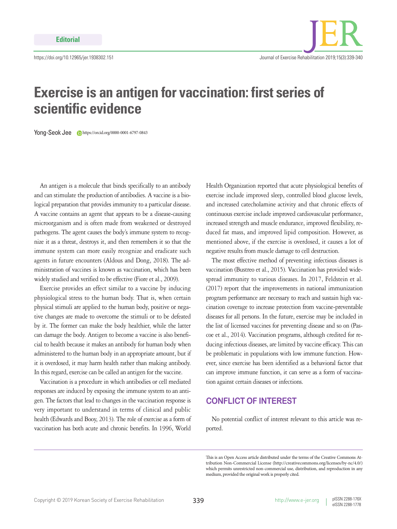

## **Exercise is an antigen for vaccination: first series of scientific evidence**

Yong-Seok Jee https://orcid.org/0000-0001-6797-0843

An antigen is a molecule that binds specifically to an antibody and can stimulate the production of antibodies. A vaccine is a biological preparation that provides immunity to a particular disease. A vaccine contains an agent that appears to be a disease-causing microorganism and is often made from weakened or destroyed pathogens. The agent causes the body's immune system to recognize it as a threat, destroys it, and then remembers it so that the immune system can more easily recognize and eradicate such agents in future encounters (Aldous and Dong, 2018). The administration of vaccines is known as vaccination, which has been widely studied and verified to be effective (Fiore et al., 2009).

Exercise provides an effect similar to a vaccine by inducing physiological stress to the human body. That is, when certain physical stimuli are applied to the human body, positive or negative changes are made to overcome the stimuli or to be defeated by it. The former can make the body healthier, while the latter can damage the body. Antigen to become a vaccine is also beneficial to health because it makes an antibody for human body when administered to the human body in an appropriate amount, but if it is overdosed, it may harm health rather than making antibody. In this regard, exercise can be called an antigen for the vaccine.

Vaccination is a procedure in which antibodies or cell mediated responses are induced by exposing the immune system to an antigen. The factors that lead to changes in the vaccination response is very important to understand in terms of clinical and public health (Edwards and Booy, 2013). The role of exercise as a form of vaccination has both acute and chronic benefits. In 1996, World

Health Organization reported that acute physiological benefits of exercise include improved sleep, controlled blood glucose levels, and increased catecholamine activity and that chronic effects of continuous exercise include improved cardiovascular performance, increased strength and muscle endurance, improved flexibility, reduced fat mass, and improved lipid composition. However, as mentioned above, if the exercise is overdosed, it causes a lot of negative results from muscle damage to cell destruction.

The most effective method of preventing infectious diseases is vaccination (Bustreo et al., 2015). Vaccination has provided widespread immunity to various diseases. In 2017, Feldstein et al. (2017) report that the improvements in national immunization program performance are necessary to reach and sustain high vaccination coverage to increase protection from vaccine-preventable diseases for all persons. In the future, exercise may be included in the list of licensed vaccines for preventing disease and so on (Pascoe et al., 2014). Vaccination programs, although credited for reducing infectious diseases, are limited by vaccine efficacy. This can be problematic in populations with low immune function. However, since exercise has been identified as a behavioral factor that can improve immune function, it can serve as a form of vaccination against certain diseases or infections.

## **CONFLICT OF INTEREST**

No potential conflict of interest relevant to this article was reported.

This is an Open Access article distributed under the terms of the Creative Commons Attribution Non-Commercial License (http://creativecommons.org/licenses/by-nc/4.0/) which permits unrestricted non-commercial use, distribution, and reproduction in any medium, provided the original work is properly cited.